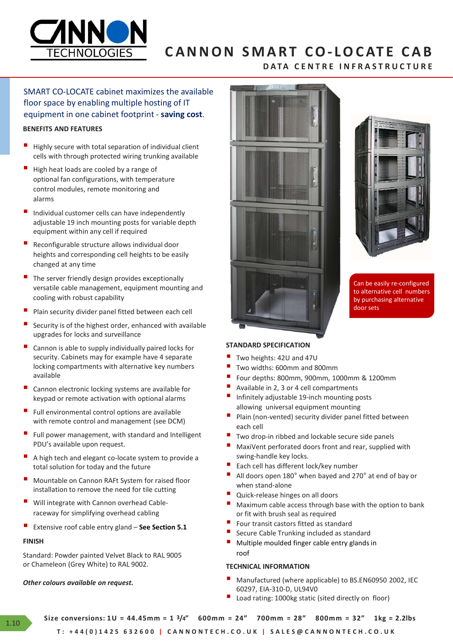

# CANNON SMART CO-LOCATE CAB

- Highly secure with total separation of individual client cells with through protected wiring trunking available
- High heat loads are cooled by a range of optional fan configurations, with temperature alarms
- Individual customer cells can have independently equipment within any cell if required
- Reconfigurable structure allows individual door heights and corresponding cell heights to be easily changed at any time
- The server friendly design provides exceptionally versatile cable management, equipment mounting and cooling with robust capability
- Plain security divider panel fitted between each cell
- Security is of the highest order, enhanced with available upgrades for locks and surveillance
- Cannon is able to supply individually paired locks for security. Cabinets may for example have 4 separate available Security is of the highest order, enhanced with available<br>
upgrades for locks and surveillance<br>
Security. Cabinets may for example have 4 separate<br>
security. Cabinets may for example have 4 separate<br>
locking compartments w Extensive root rocks and sure times to the section state with a section is allow in detection in the section of cable and a section and submitted by the section of the section of cable and a section in the section of the s
- Cannon electronic locking systems are available for<br>  $\blacksquare$  Available in 2, 3 or 4 cell compartments<br>  $\blacksquare$  Infinitely adjustable 19-inch mounting posts keypad or remote activation with optional alarms
- Full environmental control options are available with remote control and management (see DCM)  $\overline{P}$  Plain (no
- Full power management, with standard and Intelligent **The Standard Provident** Two drop-in ribbed and lockable secure side panels PDU's available upon request.
- A high tech and elegant co-locate system to provide a<br>  $\bullet$  swing-handle key locks.<br>
Each cell has different lock/key number total solution for today and the future
- installation to remove the need for tile cutting<br>
Quick-release hinges on all doors
- Will integrate with Cannon overhead Cable-
- 

# FINISH

Standard: Powder painted Velvet Black to RAL 9005 or Chameleon (Grey White) to RAL 9002.

### Other colours available on request.



![](_page_0_Picture_24.jpeg)

Can be easily re-configured to alternative cell numbers by purchasing alternative

# STANDARD SPECIFICATION

- Two heights: 42U and 47U
- 
- Two widths: 600mm and 800mm<br>■ Four depths: 800mm, 900mm, 1000mm & 1200mm
- 
- allowing universal equipment mounting
- Plain (non-vented) security divider panel fitted between
- 
- **E** MaxiVent perforated doors front and rear, supplied with
- 
- Mountable on Cannon RAFt System for raised floor **Fig. 180°** All doors open 180° when bayed and 270° at end of bay or when stand-alone
	-
- or fit with brush seal as required **STANDARD SPECIFICATION**<br> **T** Two heights: 42U and 47U<br> **T** Two widths: 600mm and 800mm<br> **F** Four depths: 800mm, 900mm, 1000mm & 1200mm<br> **E** Four depths: 800mm, 900mm, 1000mm & 1200mm<br> **E** Available in 2, 3 or 4 cell comp **STANDARD SPECIFICATION**<br> **T** Two heights: 42U and 47U<br> **T** Two widths: 600mm and 800mm<br> **E** Four depths: 800mm, 900mm, 1000mm & 1200mm<br> **E** Hour depths: 800mm, 900mm, 1000mm & 1200mm<br> **T** Available in 2, 3 or 4 cell comp
	-
	-
	- Secure Cable Trunking included as standard<br>Multiple moulded finger cable entry glands in roof

## TECHNICAL INFORMATION

- Manufactured (where applicable) to BS.EN60950 2002, IEC 60297, EIA-310-D, UL94V0
- Load rating: 1000kg static (sited directly on floor)